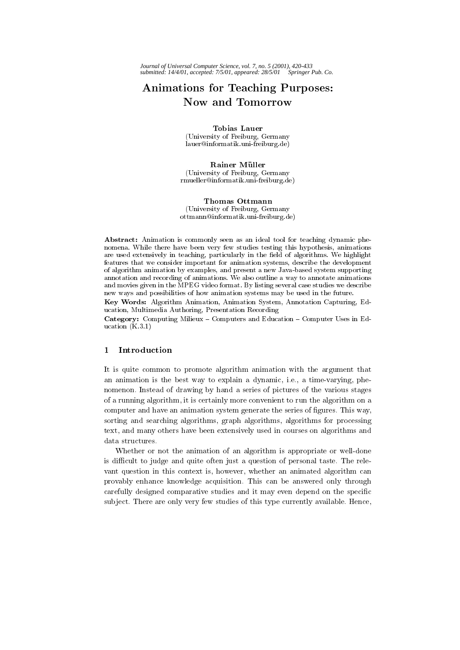# Animations for Teaching Purposes: Now and Tomorrow

#### Tobias Lauer

(University of Freiburg, Germany lauer@informatik.uni-freiburg.de)

## Rainer Müller

(University of Freiburg, Germany rmueller@informatik.uni-freiburg.de)

## Thomas Ottmann

(University of Freiburg, Germany ottmann@informatik.uni-freiburg.de)

Abstract: Animation is commonly seen as an ideal tool for teaching dynamic phenomena. While there have been very few studies testing this hypothesis, animations are used extensively in teaching, particularly in the field of algorithms. We highlight features that we consider important for animation systems, describe the development of algorithm animation by examples, and present a new Java-based system supporting annotation and recording of animations. We also outline a way to annotate animations and movies given in the MPEG video format. By listing several case studies we describe new ways and possibilities of how animation systems may be used in the future.

Key Words: Algorithm Animation, Animation System, Annotation Capturing, Education, Multimedia Authoring, Presentation Recording

Category: Computing Milieux - Computers and Education - Computer Uses in Education  $(K.3.1)$ 

## 1 Introduction

It is quite common to promote algorithm animation with the argument that an animation is the best way to explain a dynamic, i.e., a time-varying, phenomenon. Instead of drawing by hand a series of pictures of the various stages of a running algorithm, it is certainly more convenient to run the algorithm on a computer and have an animation system generate the series of figures. This way, sorting and searching algorithms, graph algorithms, algorithms for processing text, and many others have been extensively used in courses on algorithms and data structures.

Whether or not the animation of an algorithm is appropriate or well-done is difficult to judge and quite often just a question of personal taste. The relevant question in this context is, however, whether an animated algorithm can provably enhance knowledge acquisition. This can be answered only through carefully designed comparative studies and it may even depend on the specific sub ject. There are only very few studies of this type currently available. Hence,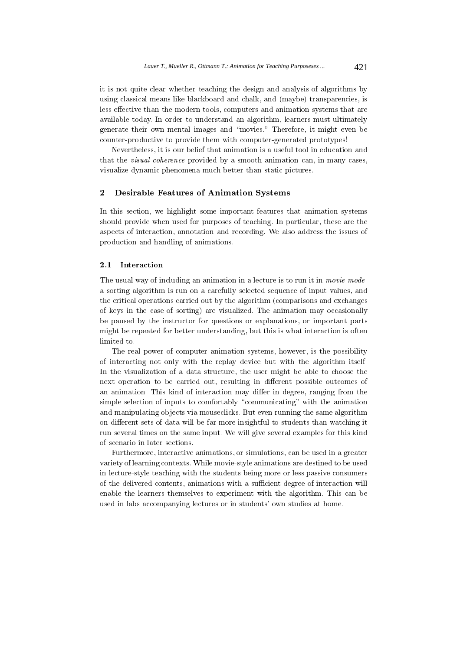it is not quite clear whether teaching the design and analysis of algorithms by using classical means like blackboard and chalk, and (maybe) transparencies, is less effective than the modern tools, computers and animation systems that are available today. In order to understand an algorithm, learners must ultimately generate their own mental images and \movies." Therefore, it might even be counter-productive to provide them with computer-generated prototypes!

Nevertheless, it is our belief that animation is a useful tool in education and that the visual coherence provided by a smooth animation can, in many cases, visualize dynamic phenomena much better than static pictures.

#### $\mathbf{2}$ 2 Desirable Features of Animation Systems

In this section, we highlight some important features that animation systems should provide when used for purposes of teaching. In particular, these are the aspects of interaction, annotation and recording. We also address the issues of production and handling of animations.

#### $2.1$ Interaction

The usual way of including an animation in a lecture is to run it in *movie mode*: a sorting algorithm is run on a carefully selected sequence of input values, and the critical operations carried out by the algorithm (comparisons and exchanges of keys in the case of sorting) are visualized. The animation may occasionally be paused by the instructor for questions or explanations, or important parts might be repeated for better understanding, but this is what interaction is often limited to.

The real power of computer animation systems, however, is the possibility of interacting not only with the replay device but with the algorithm itself. In the visualization of a data structure, the user might be able to choose the next operation to be carried out, resulting in different possible outcomes of an animation. This kind of interaction may differ in degree, ranging from the simple selection of inputs to comfortably "communicating" with the animation and manipulating ob jects via mouseclicks. But even running the same algorithm on different sets of data will be far more insightful to students than watching it run several times on the same input. We will give several examples for this kind of scenario in later sections.

Furthermore, interactive animations, or simulations, can be used in a greater variety of learning contexts. While movie-style animations are destined to be used in lecture-style teaching with the students being more or less passive consumers of the delivered contents, animations with a sufficient degree of interaction will enable the learners themselves to experiment with the algorithm. This can be used in labs accompanying lectures or in students' own studies at home.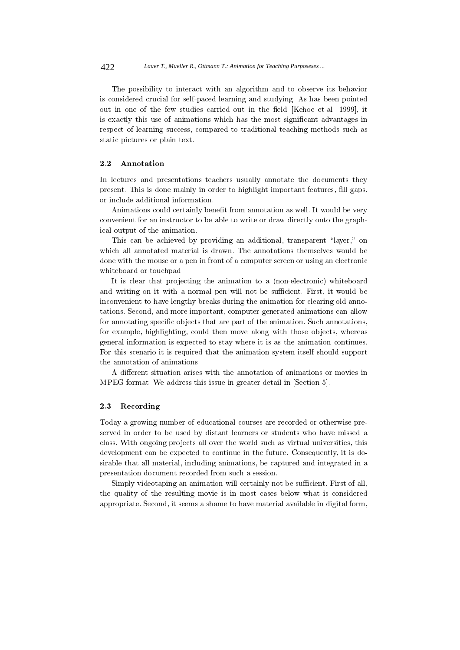The possibility to interact with an algorithm and to observe its behavior is considered crucial for self-paced learning and studying. As has been pointed out in one of the few studies carried out in the field [Kehoe et al. 1999], it is exactly this use of animations which has the most signicant advantages in respect of learning success, compared to traditional teaching methods such as static pictures or plain text.

## 2.2 Annotation

In lectures and presentations teachers usually annotate the documents they present. This is done mainly in order to highlight important features, fill gaps, or include additional information.

Animations could certainly benefit from annotation as well. It would be very convenient for an instructor to be able to write or draw directly onto the graphical output of the animation.

This can be achieved by providing an additional, transparent "layer," on which all annotated material is drawn. The annotations themselves would be done with the mouse or a pen in front of a computer screen or using an electronic whiteboard or touchpad.

It is clear that projecting the animation to a (non-electronic) whiteboard and writing on it with a normal pen will not be sufficient. First, it would be inconvenient to have lengthy breaks during the animation for clearing old annotations. Second, and more important, computer generated animations can allow for annotating specific objects that are part of the animation. Such annotations, for example, highlighting, could then move along with those objects, whereas general information is expected to stay where it is as the animation continues. For this scenario it is required that the animation system itself should support the annotation of animations.

A different situation arises with the annotation of animations or movies in MPEG format. We address this issue in greater detail in [Section 5].

## 2.3 Recording

Today a growing number of educational courses are recorded or otherwise preserved in order to be used by distant learners or students who have missed a class. With ongoing projects all over the world such as virtual universities, this development can be expected to continue in the future. Consequently, it is desirable that all material, including animations, be captured and integrated in a presentation document recorded from such a session.

Simply videotaping an animation will certainly not be sufficient. First of all, the quality of the resulting movie is in most cases below what is considered appropriate. Second, it seems a shame to have material available in digital form,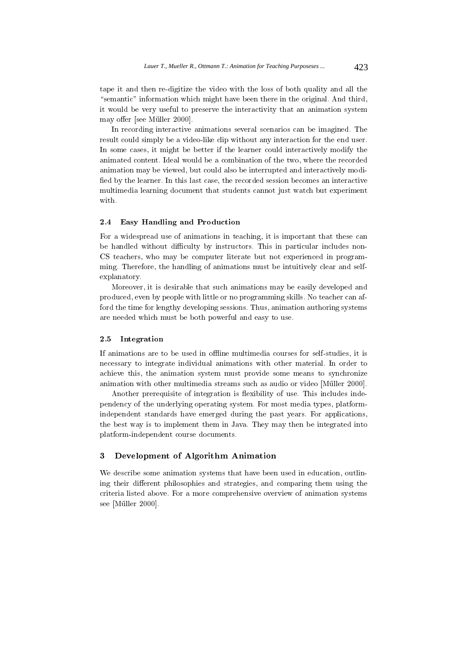tape it and then re-digitize the video with the loss of both quality and all the "semantic" information which might have been there in the original. And third, it would be very useful to preserve the interactivity that an animation system may offer [see Müller 2000].

In recording interactive animations several scenarios can be imagined. The result could simply be a video-like clip without any interaction for the end user. In some cases, it might be better if the learner could interactively modify the animated content. Ideal would be a combination of the two, where the recorded animation may be viewed, but could also be interrupted and interactively modi fied by the learner. In this last case, the recorded session becomes an interactive multimedia learning document that students cannot just watch but experiment with.

## 2.4 Easy Handling and Production

For a widespread use of animations in teaching, it is important that these can be handled without difficulty by instructors. This in particular includes non-CS teachers, who may be computer literate but not experienced in programming. Therefore, the handling of animations must be intuitively clear and selfexplanatory.

Moreover, it is desirable that such animations may be easily developed and produced, even by people with little or no programming skills. No teacher can afford the time for lengthy developing sessions. Thus, animation authoring systems are needed which must be both powerful and easy to use.

## 2.5 Integration

If animations are to be used in offline multimedia courses for self-studies, it is necessary to integrate individual animations with other material. In order to achieve this, the animation system must provide some means to synchronize animation with other multimedia streams such as audio or video [Muller 2000].

Another prerequisite of integration is flexibility of use. This includes independency of the underlying operating system. For most media types, platformindependent standards have emerged during the past years. For applications, the best way is to implement them in Java. They may then be integrated into platform-independent course documents.

#### $\boldsymbol{3}$ 3 Development of Algorithm Animation

We describe some animation systems that have been used in education, outlining their different philosophies and strategies, and comparing them using the criteria listed above. For a more comprehensive overview of animation systems see [Müller 2000].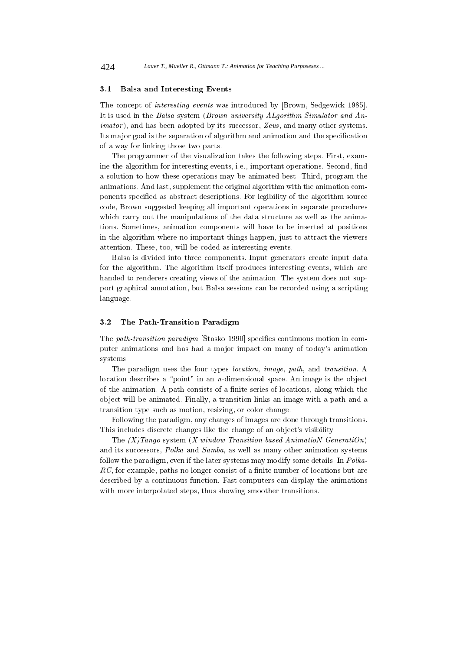### 3.1 Balsa and Interesting Events

The concept of interesting events was introduced by [Brown, Sedgewick 1985]. It is used in the Balsa system (Brown university ALgorithm Simulator and An- $\text{imator}$ ), and has been adopted by its successor, Zeus, and many other systems. Its major goal is the separation of algorithm and animation and the specification of a way for linking those two parts.

The programmer of the visualization takes the following steps. First, examine the algorithm for interesting events, i.e., important operations. Second, find a solution to how these operations may be animated best. Third, program the animations. And last, supplement the original algorithm with the animation components specied as abstract descriptions. For legibility of the algorithm source code, Brown suggested keeping all important operations in separate procedures which carry out the manipulations of the data structure as well as the animations. Sometimes, animation components will have to be inserted at positions in the algorithm where no important things happen, just to attract the viewers attention. These, too, will be coded as interesting events.

Balsa is divided into three components. Input generators create input data for the algorithm. The algorithm itself produces interesting events, which are handed to renderers creating views of the animation. The system does not support graphical annotation, but Balsa sessions can be recorded using a scripting language.

#### $3.2$ The Path-Transition Paradigm

The path-transition paradigm [Stasko 1990] specifies continuous motion in computer animations and has had a major impact on many of today's animation systems.

The paradigm uses the four types location, image, path, and transition. A location describes a "point" in an n-dimensional space. An image is the object of the animation. A path consists of a finite series of locations, along which the ob ject will be animated. Finally, a transition links an image with a path and a transition type such as motion, resizing, or color change.

Following the paradigm, any changes of images are done through transitions. This includes discrete changes like the change of an object's visibility.

The  $(X)$  Tango system  $(X$ -window Transition-based Animation Generation) and its successors, Polka and Samba, as well as many other animation systems follow the paradigm, even if the later systems may modify some details. In Polka- $RC$ , for example, paths no longer consist of a finite number of locations but are described by a continuous function. Fast computers can display the animations with more interpolated steps, thus showing smoother transitions.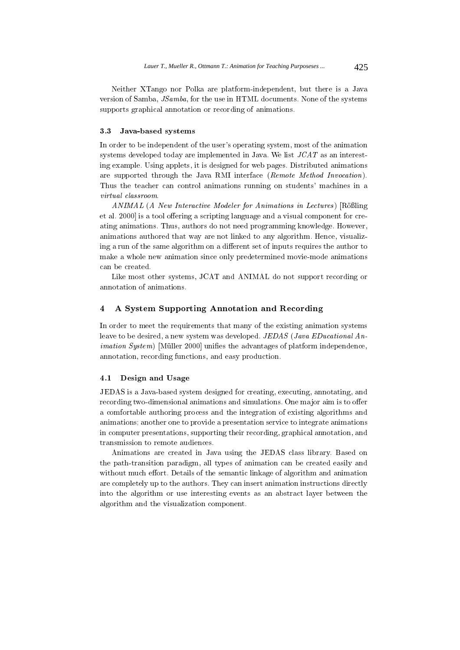Neither XTango nor Polka are platform-independent, but there is a Java version of Samba, JSamba, for the use in HTML documents. None of the systems supports graphical annotation or recording of animations.

### 3.3 Java-based systems

In order to be independent of the user's operating system, most of the animation systems developed today are implemented in Java. We list JCAT as an interesting example. Using applets, it is designed for web pages. Distributed animations are supported through the Java RMI interface (Remote Method Invocation). Thus the teacher can control animations running on students' machines in a virtual classroom.

 $ANIMAL (A New Interactive Modeler for Animations in Lectures)$  [Rößling] et al. 2000 is a tool offering a scripting language and a visual component for creating animations. Thus, authors do not need programming knowledge. However, animations authored that way are not linked to any algorithm. Hence, visualizing a run of the same algorithm on a different set of inputs requires the author to make a whole new animation since only predetermined movie-mode animations can be created.

Like most other systems, JCAT and ANIMAL do not support recording or annotation of animations.

## 4 A System Supporting Annotation and Recording

In order to meet the requirements that many of the existing animation systems leave to be desired, a new system was developed. JEDAS (Java EDucational An $i$ *mation System*) [Müller 2000] unifies the advantages of platform independence, annotation, recording functions, and easy production.

## 4.1 Design and Usage

JEDAS is a Java-based system designed for creating, executing, annotating, and recording two-dimensional animations and simulations. One major aim is to offer a comfortable authoring process and the integration of existing algorithms and animations; another one to provide a presentation service to integrate animations in computer presentations, supporting their recording, graphical annotation, and transmission to remote audiences.

Animations are created in Java using the JEDAS class library. Based on the path-transition paradigm, all types of animation can be created easily and without much effort. Details of the semantic linkage of algorithm and animation are completely up to the authors. They can insert animation instructions directly into the algorithm or use interesting events as an abstract layer between the algorithm and the visualization component.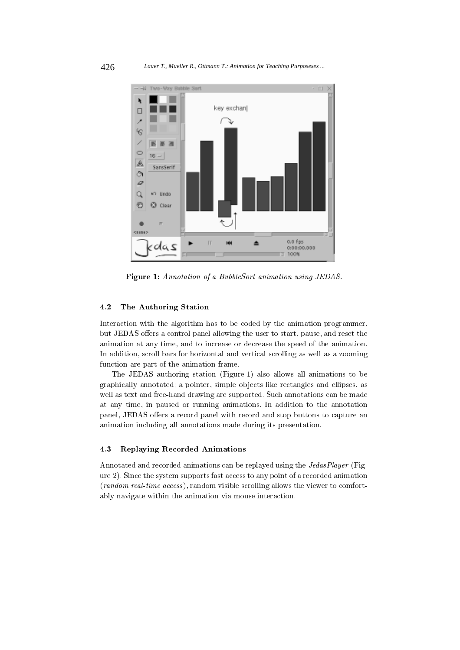

Figure 1: Annotation of a BubbleSort animation using JEDAS.

## 4.2 The Authoring Station

Interaction with the algorithm has to be coded by the animation programmer, but JEDAS offers a control panel allowing the user to start, pause, and reset the animation at any time, and to increase or decrease the speed of the animation. In addition, scroll bars for horizontal and vertical scrolling as well as a zooming function are part of the animation frame.

The JEDAS authoring station (Figure 1) also allows all animations to be graphically annotated; a pointer, simple ob jects like rectangles and ellipses, as well as text and free-hand drawing are supported. Such annotations can be made at any time, in paused or running animations. In addition to the annotation panel, JEDAS offers a record panel with record and stop buttons to capture an animation including all annotations made during its presentation.

## 4.3 Replaying Recorded Animations

Annotated and recorded animations can be replayed using the JedasPlayer (Figure 2). Since the system supports fast access to any point of a recorded animation (random real-time access ), random visible scrolling allows the viewer to comfortably navigate within the animation via mouse interaction.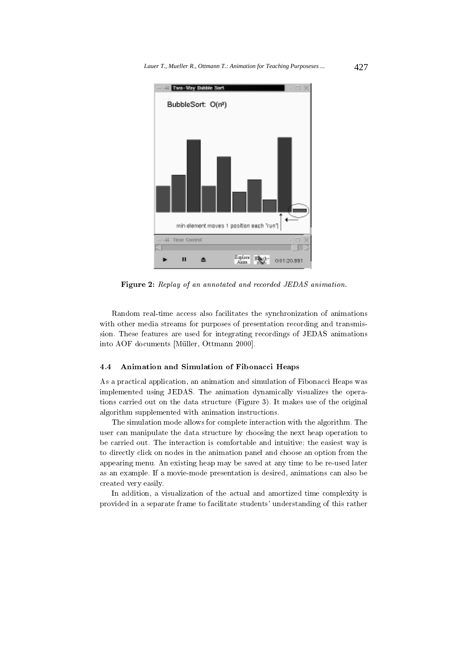

Figure 2: Replay of an annotated and recorded JEDAS animation.

Random real-time access also facilitates the synchronization of animations with other media streams for purposes of presentation recording and transmission. These features are used for integrating recordings of JEDAS animations into AOF documents [Muller, Ottmann 2000].

## 4.4 Animation and Simulation of Fibonacci Heaps

As a practical application, an animation and simulation of Fibonacci Heaps was implemented using JEDAS. The animation dynamically visualizes the operations carried out on the data structure (Figure 3). It makes use of the original algorithm supplemented with animation instructions.

The simulation mode allows for complete interaction with the algorithm. The user can manipulate the data structure by choosing the next heap operation to be carried out. The interaction is comfortable and intuitive; the easiest way is to directly click on nodes in the animation panel and choose an option from the appearing menu. An existing heap may be saved at any time to be re-used later as an example. If a movie-mode presentation is desired, animations can also be created very easily.

In addition, a visualization of the actual and amortized time complexity is provided in a separate frame to facilitate students' understanding of this rather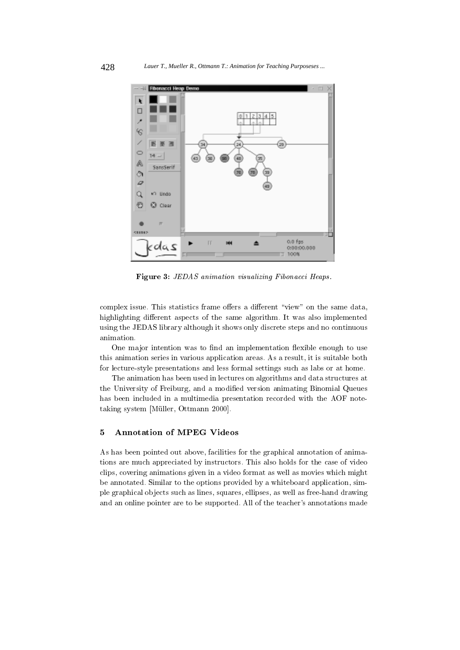

Figure 3: JEDAS animation visualizing Fibonacci Heaps.

complex issue. This statistics frame offers a different "view" on the same data, highlighting different aspects of the same algorithm. It was also implemented using the JEDAS library although it shows only discrete steps and no continuous animation.

One major intention was to find an implementation flexible enough to use this animation series in various application areas. As a result, it is suitable both for lecture-style presentations and less formal settings such as labs or at home.

The animation has been used in lectures on algorithms and data structures at the University of Freiburg, and a modied version animating Binomial Queues has been included in a multimedia presentation recorded with the AOF notetaking system [Müller, Ottmann 2000].

## 5 Annotation of MPEG Videos

As has been pointed out above, facilities for the graphical annotation of animations are much appreciated by instructors. This also holds for the case of video clips, covering animations given in a video format as well as movies which might be annotated. Similar to the options provided by a whiteboard application, simple graphical ob jects such as lines, squares, ellipses, as well as free-hand drawing and an online pointer are to be supported. All of the teacher's annotations made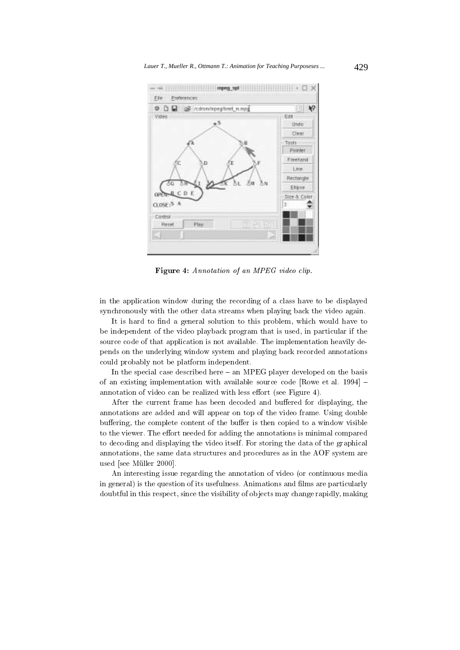

Figure 4: Annotation of an MPEG video clip.

in the application window during the recording of a class have to be displayed synchronously with the other data streams when playing back the video again.

It is hard to find a general solution to this problem, which would have to be independent of the video playback program that is used, in particular if the source code of that application is not available. The implementation heavily depends on the underlying window system and playing back recorded annotations could probably not be platform independent.

In the special case described here  $-$  an MPEG player developed on the basis of an existing implementation with available source code  $[Rowe]$  et al. 1994]  $$ annotation of video can be realized with less effort (see Figure 4).

After the current frame has been decoded and buffered for displaying, the annotations are added and will appear on top of the video frame. Using double buffering, the complete content of the buffer is then copied to a window visible to the viewer. The effort needed for adding the annotations is minimal compared to decoding and displaying the video itself. For storing the data of the graphical annotations, the same data structures and procedures as in the AOF system are used [see Müller 2000].

An interesting issue regarding the annotation of video (or continuous media in general) is the question of its usefulness. Animations and films are particularly doubtful in this respect, since the visibility of ob jects may change rapidly, making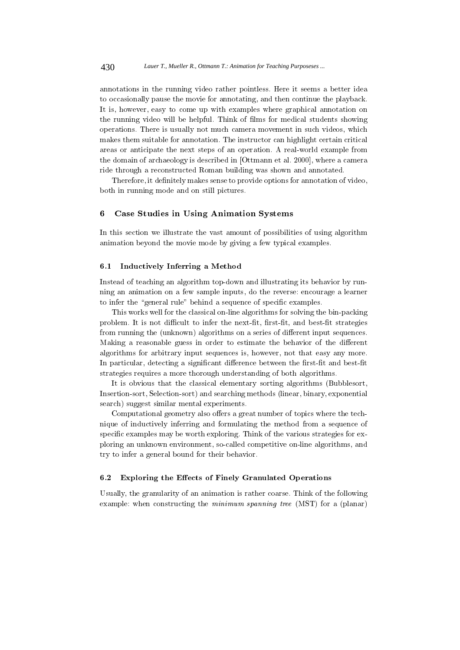annotations in the running video rather pointless. Here it seems a better idea to occasionally pause the movie for annotating, and then continue the playback. It is, however, easy to come up with examples where graphical annotation on the running video will be helpful. Think of films for medical students showing operations. There is usually not much camera movement in such videos, which makes them suitable for annotation. The instructor can highlight certain critical areas or anticipate the next steps of an operation. A real-world example from the domain of archaeology is described in [Ottmann et al. 2000], where a camera ride through a reconstructed Roman building was shown and annotated.

Therefore, it definitely makes sense to provide options for annotation of video, both in running mode and on still pictures.

## 6 Case Studies in Using Animation Systems

In this section we illustrate the vast amount of possibilities of using algorithm animation beyond the movie mode by giving a few typical examples.

### 6.1 Inductively Inferring a Method

Instead of teaching an algorithm top-down and illustrating its behavior by running an animation on a few sample inputs, do the reverse: encourage a learner to infer the "general rule" behind a sequence of specific examples.

This works well for the classical on-line algorithms for solving the bin-packing problem. It is not difficult to infer the next-fit, first-fit, and best-fit strategies from running the (unknown) algorithms on a series of different input sequences. Making a reasonable guess in order to estimate the behavior of the different algorithms for arbitrary input sequences is, however, not that easy any more. In particular, detecting a significant difference between the first-fit and best-fit strategies requires a more thorough understanding of both algorithms.

It is obvious that the classical elementary sorting algorithms (Bubblesort, Insertion-sort, Selection-sort) and searching methods (linear, binary, exponential search) suggest similar mental experiments.

Computational geometry also offers a great number of topics where the technique of inductively inferring and formulating the method from a sequence of specific examples may be worth exploring. Think of the various strategies for exploring an unknown environment, so-called competitive on-line algorithms, and try to infer a general bound for their behavior.

## 6.2 Exploring the Effects of Finely Granulated Operations

Usually, the granularity of an animation is rather coarse. Think of the following example: when constructing the minimum spanning tree (MST) for a (planar)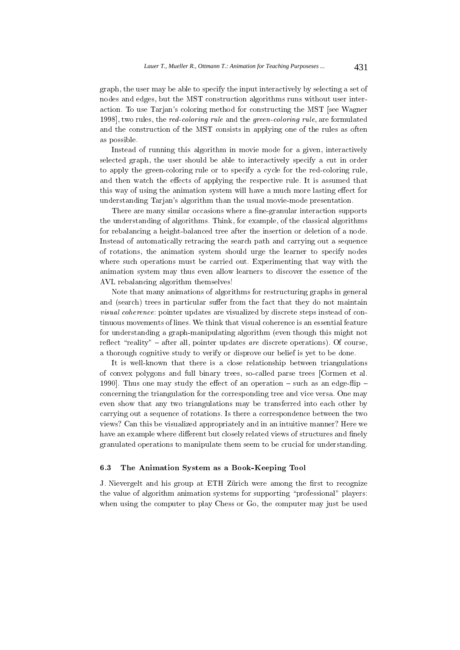graph, the user may be able to specify the input interactively by selecting a set of nodes and edges, but the MST construction algorithms runs without user interaction. To use Tarjan's coloring method for constructing the MST [see Wagner 1998], two rules, the red-coloring rule and the green-coloring rule, are formulated and the construction of the MST consists in applying one of the rules as often as possible.

Instead of running this algorithm in movie mode for a given, interactively selected graph, the user should be able to interactively specify a cut in order to apply the green-coloring rule or to specify a cycle for the red-coloring rule, and then watch the effects of applying the respective rule. It is assumed that this way of using the animation system will have a much more lasting effect for understanding Tarjan's algorithm than the usual movie-mode presentation.

There are many similar occasions where a fine-granular interaction supports the understanding of algorithms. Think, for example, of the classical algorithms for rebalancing a height-balanced tree after the insertion or deletion of a node. Instead of automatically retracing the search path and carrying out a sequence of rotations, the animation system should urge the learner to specify nodes where such operations must be carried out. Experimenting that way with the animation system maythus even allow learners to discover the essence of the AVL rebalancing algorithm themselves!

Note that many animations of algorithms for restructuring graphs in general and (search) trees in particular suffer from the fact that they do not maintain visual coherence: pointer updates are visualized by discrete steps instead of continuous movements of lines. We think that visual coherence is an essential feature for understanding a graph-manipulating algorithm (even though this might not reflect "reality"  $-$  after all, pointer updates *are* discrete operations). Of course, a thorough cognitive study to verify or disprove our belief is yet to be done.

It is well-known that there is a close relationship between triangulations of convex polygons and full binary trees, so-called parse trees [Cormen et al. 1990]. Thus one may study the effect of an operation  $-$  such as an edge-flip  $$ concerning the triangulation for the corresponding tree and vice versa. One may even show that any two triangulations may be transferred into each other by carrying out a sequence of rotations. Is there a correspondence between the two views? Can this be visualized appropriately and in an intuitive manner? Here we have an example where different but closely related views of structures and finely granulated operations to manipulate them seem to be crucial for understanding.

## 6.3 The Animation System as a Book-Keeping Tool

J. Nievergelt and his group at ETH Zürich were among the first to recognize the value of algorithm animation systems for supporting "professional" players: when using the computer to play Chess or Go, the computer may just be used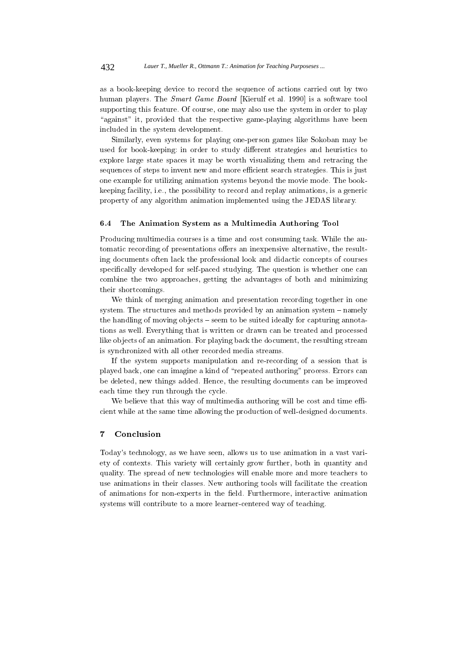as a book-keeping device to record the sequence of actions carried out by two human players. The Smart Game Board [Kierulf et al. 1990] is a software tool supporting this feature. Of course, one may also use the system in order to play "against" it, provided that the respective game-playing algorithms have been included in the system development.

Similarly, even systems for playing one-person games like Sokoban may be used for book-keeping: in order to study different strategies and heuristics to explore large state spaces it may be worth visualizing them and retracing the sequences of steps to invent new and more efficient search strategies. This is just one example for utilizing animation systems beyond the movie mode. The bookkeeping facility, i.e., the possibility to record and replay animations, is a generic property of any algorithm animation implemented using the JEDAS library.

## 6.4 The Animation System as a Multimedia Authoring Tool

Producing multimedia courses is a time and cost consuming task. While the automatic recording of presentations offers an inexpensive alternative, the resulting documents often lack the professional look and didactic concepts of courses specically developed for self-paced studying. The question is whether one can combine the two approaches, getting the advantages of both and minimizing their shortcomings.

We think of merging animation and presentation recording together in one system. The structures and methods provided by an animation system  $-$  namely the handling of moving objects – seem to be suited ideally for capturing annotations as well. Everything that is written or drawn can be treated and processed like objects of an animation. For playing back the document, the resulting stream is synchronized with all other recorded media streams.

If the system supports manipulation and re-recording of a session that is played back, one can imagine a kind of \repeated authoring" process. Errors can be deleted, new things added. Hence, the resulting documents can be improved each time they run through the cycle.

We believe that this way of multimedia authoring will be cost and time efficient while at the same time allowing the production of well-designed documents.

#### $\overline{7}$ **Conclusion**

Today's technology, as we have seen, allows us to use animation in a vast variety of contexts. This variety will certainly grow further, both in quantity and quality. The spread of new technologies will enable more and more teachers to use animations in their classes. New authoring tools will facilitate the creation of animations for non-experts in the field. Furthermore, interactive animation systems will contribute to a more learner-centered way of teaching.